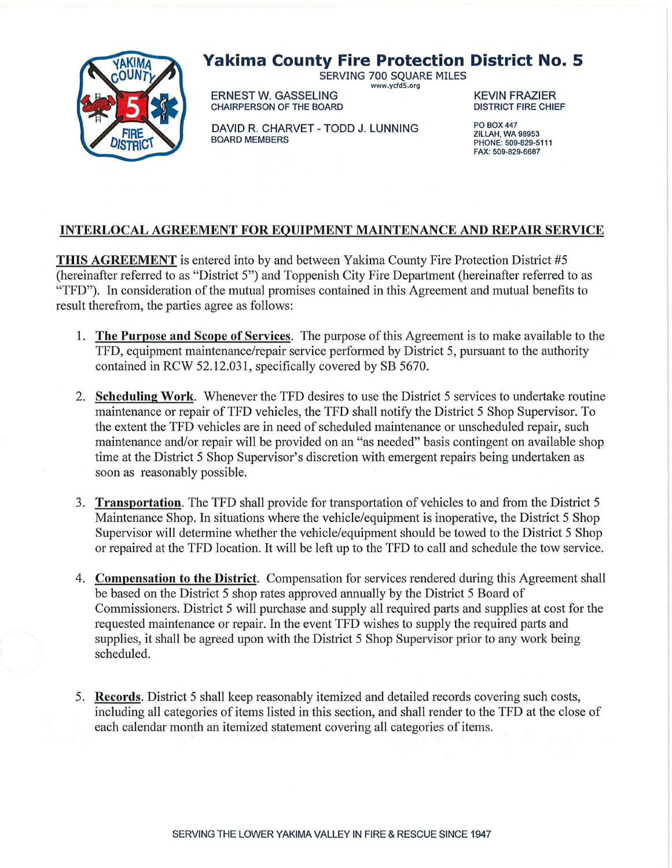

## **Yakima County Fire Protection District No. 5**

SERVING 700 SOUARE MILES www.ycfd5.org

ERNEST W. GASSELING<br>CHAIRPERSON OF THE BOARD CHAIRPERSON OF THE BOARD CHAIRPERSON OF THE BOARD

DAVID R. CHARVET - TODD J. LUNNING BOARD MEMBERS

PO B0X447 **ZILLAH, WA 98953** PHONE: 509-829-5111 FAX: 509-829-6687

## **INTERLOCAL AGREEMENT FOR EQUIPMENT MAINTENANCE AND REPAIR SERVICE**

**THIS AGREEMENT** is entered into by and between Yakima County Fire Protection District #5 (hereinafter referred to as "District 5") and Toppenish City Fire Department (hereinafter referred to as "TFD"). In consideration of the mutual promises contained in this Agreement and mutual benefits to result therefrom, the parties agree as follows:

- 1. **The Purpose and Scope of Services.** The purpose of this Agreement is to make available to the TFD, equipment maintenance/repair service performed by District 5, pursuant to the authority contained in RCW 52.12.031, specifically covered by SB 5670.
- 2. **Scheduling Work.** Whenever the TFD desires to use the District 5 services to undertake routine maintenance or repair of TFD vehicles, the TFD shall notify the District 5 Shop Supervisor. To the extent the TFD vehicles are in need of scheduled maintenance or unscheduled repair, such maintenance and/or repair will be provided on an "as needed" basis contingent on available shop time at the District 5 Shop Supervisor's discretion with emergent repairs being undertaken as soon as reasonably possible.
- 3. **Transportation.** The TFD shall provide for transportation of vehicles to and from the District 5 Maintenance Shop. In situations where the vehicle/equipment is inoperative, the District 5 Shop Supervisor will determine whether the vehicle/equipment should be towed to the District 5 Shop or repaired at the TFD location. It will be left up to the TFD to call and schedule the tow service.
- 4. **Compensation to the District.** Compensation for services rendered during this Agreement shall be based on the District 5 shop rates approved annually by the District 5 Board of Commissioners. District 5 will purchase and supply all required parts and supplies at cost for the requested maintenance or repair. In the event TFD wishes to supply the required parts and supplies, it shall be agreed upon with the District 5 Shop Supervisor prior to any work being scheduled.
- 5. **Records.** District 5 shall keep reasonably itemized and detailed records covering such costs, including all categories of items listed in this section, and shall render to the TFD at the close of each calendar month an itemized statement covering all categories of items.